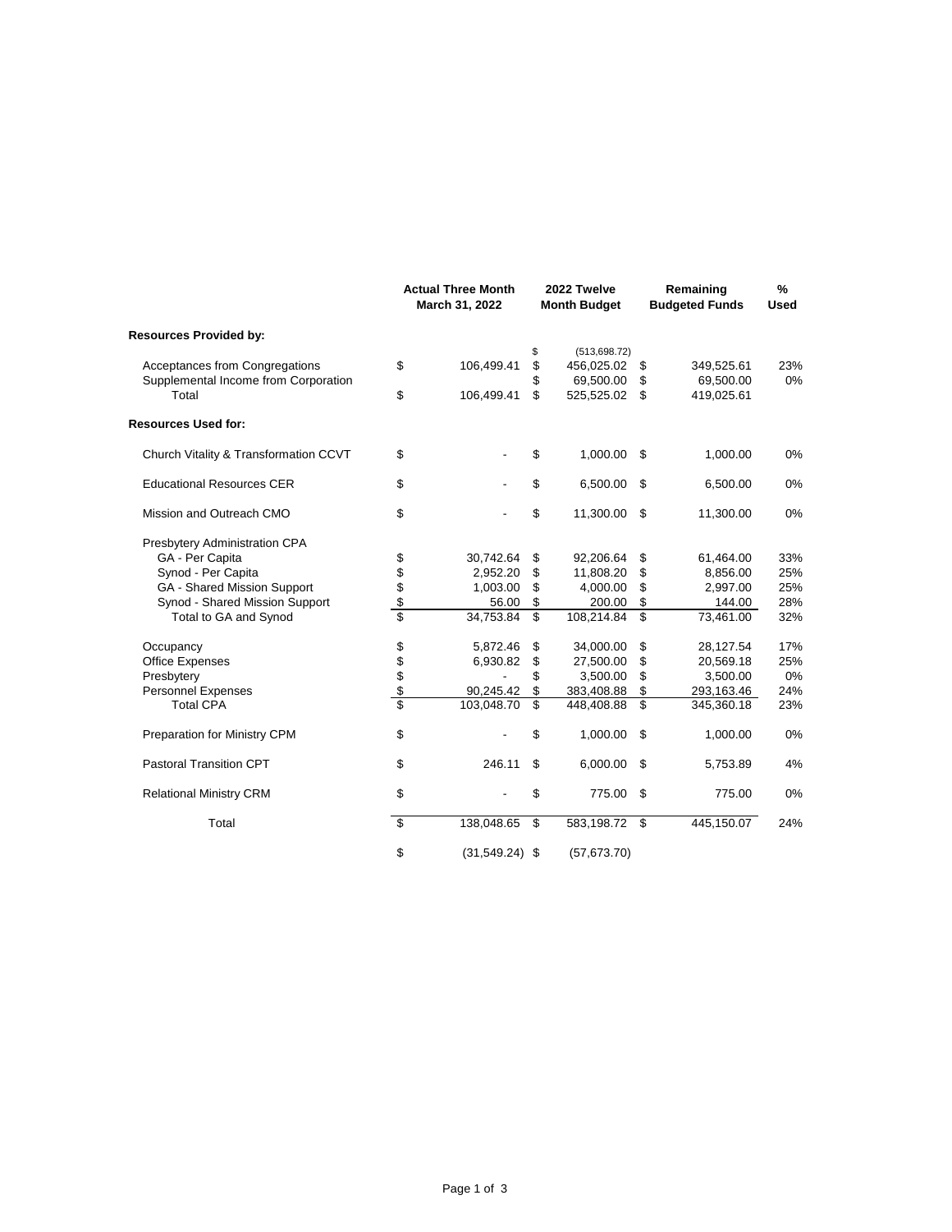|                                       |        | <b>Actual Three Month</b><br>March 31, 2022 | 2022 Twelve<br><b>Month Budget</b> |    | Remaining<br><b>Budgeted Funds</b> | %<br><b>Used</b> |
|---------------------------------------|--------|---------------------------------------------|------------------------------------|----|------------------------------------|------------------|
| <b>Resources Provided by:</b>         |        |                                             |                                    |    |                                    |                  |
|                                       |        |                                             | \$<br>(513, 698.72)                |    |                                    |                  |
| Acceptances from Congregations        | \$     | 106,499.41                                  | \$<br>456,025.02                   | \$ | 349,525.61                         | 23%              |
| Supplemental Income from Corporation  |        |                                             | \$<br>69,500.00                    | \$ | 69,500.00                          | 0%               |
| Total                                 | \$     | 106,499.41                                  | \$<br>525,525.02                   | \$ | 419,025.61                         |                  |
| <b>Resources Used for:</b>            |        |                                             |                                    |    |                                    |                  |
| Church Vitality & Transformation CCVT | \$     |                                             | \$<br>1,000.00                     | \$ | 1,000.00                           | 0%               |
| <b>Educational Resources CER</b>      | \$     |                                             | \$<br>6,500.00                     | \$ | 6,500.00                           | 0%               |
| Mission and Outreach CMO              | \$     |                                             | \$<br>11,300.00                    | \$ | 11,300.00                          | 0%               |
| Presbytery Administration CPA         |        |                                             |                                    |    |                                    |                  |
| GA - Per Capita                       | \$     | 30,742.64                                   | \$<br>92,206.64                    | \$ | 61,464.00                          | 33%              |
| Synod - Per Capita                    |        | 2,952.20                                    | \$<br>11,808.20                    | \$ | 8,856.00                           | 25%              |
| GA - Shared Mission Support           |        | 1,003.00                                    | \$<br>4,000.00                     | \$ | 2,997.00                           | 25%              |
| Synod - Shared Mission Support        | \$\$\$ | 56.00                                       | \$<br>200.00                       | \$ | 144.00                             | 28%              |
| Total to GA and Synod                 |        | 34,753.84                                   | \$<br>108,214.84                   | \$ | 73,461.00                          | 32%              |
| Occupancy                             |        | 5,872.46                                    | \$<br>34,000.00                    | \$ | 28,127.54                          | 17%              |
| <b>Office Expenses</b>                |        | 6,930.82                                    | \$<br>27,500.00                    | \$ | 20,569.18                          | 25%              |
| Presbytery                            |        |                                             | \$<br>3,500.00                     | \$ | 3,500.00                           | 0%               |
| <b>Personnel Expenses</b>             | \$\$\$ | 90,245.42                                   | \$<br>383,408.88                   | \$ | 293,163.46                         | 24%              |
| <b>Total CPA</b>                      | \$     | 103,048.70                                  | \$<br>448,408.88                   | \$ | 345,360.18                         | 23%              |
| Preparation for Ministry CPM          | \$     |                                             | \$<br>1,000.00                     | \$ | 1,000.00                           | 0%               |
| <b>Pastoral Transition CPT</b>        | \$     | 246.11                                      | \$<br>6,000.00                     | \$ | 5,753.89                           | 4%               |
| <b>Relational Ministry CRM</b>        | \$     |                                             | \$<br>775.00                       | \$ | 775.00                             | 0%               |
| Total                                 | \$     | 138,048.65                                  | \$<br>583,198.72                   | \$ | 445,150.07                         | 24%              |
|                                       | \$     | $(31,549.24)$ \$                            | (57,673.70)                        |    |                                    |                  |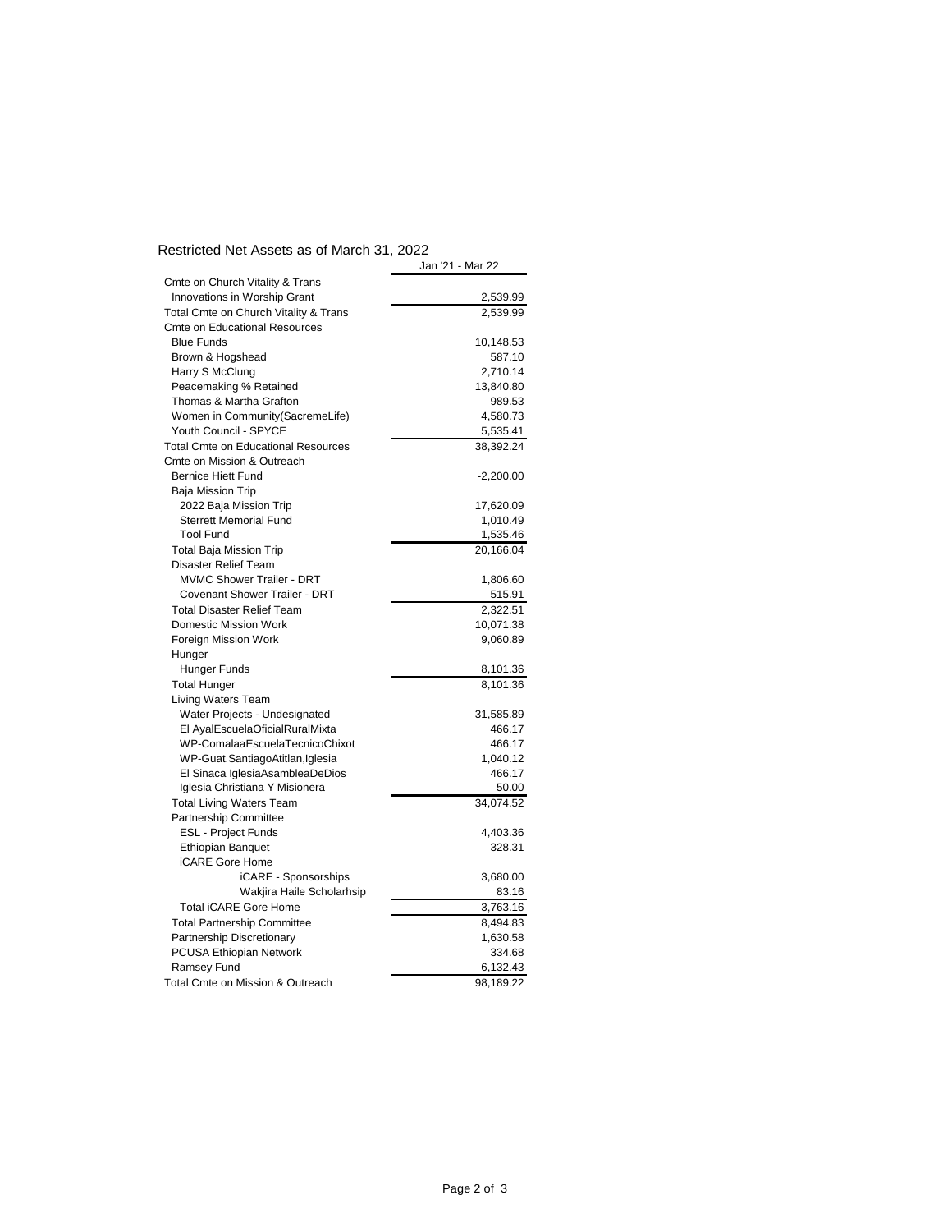## Restricted Net Assets as of March 31, 2022

|                                            | Jan '21 - Mar 22 |
|--------------------------------------------|------------------|
| Cmte on Church Vitality & Trans            |                  |
| Innovations in Worship Grant               | 2,539.99         |
| Total Cmte on Church Vitality & Trans      | 2,539.99         |
| <b>Cmte on Educational Resources</b>       |                  |
| <b>Blue Funds</b>                          | 10,148.53        |
| Brown & Hogshead                           | 587.10           |
| Harry S McClung                            | 2,710.14         |
| Peacemaking % Retained                     | 13,840.80        |
| Thomas & Martha Grafton                    | 989.53           |
| Women in Community(SacremeLife)            | 4,580.73         |
| Youth Council - SPYCE                      | 5,535.41         |
| <b>Total Cmte on Educational Resources</b> | 38,392.24        |
| Cmte on Mission & Outreach                 |                  |
| <b>Bernice Hiett Fund</b>                  | $-2,200.00$      |
| Baja Mission Trip                          |                  |
| 2022 Baja Mission Trip                     | 17,620.09        |
| <b>Sterrett Memorial Fund</b>              | 1,010.49         |
| <b>Tool Fund</b>                           | 1,535.46         |
| <b>Total Baja Mission Trip</b>             | 20,166.04        |
| Disaster Relief Team                       |                  |
| <b>MVMC Shower Trailer - DRT</b>           | 1,806.60         |
| <b>Covenant Shower Trailer - DRT</b>       | 515.91           |
| <b>Total Disaster Relief Team</b>          | 2,322.51         |
| <b>Domestic Mission Work</b>               | 10,071.38        |
| Foreign Mission Work                       | 9,060.89         |
| Hunger                                     |                  |
| Hunger Funds                               | 8,101.36         |
| <b>Total Hunger</b>                        | 8,101.36         |
| <b>Living Waters Team</b>                  |                  |
| Water Projects - Undesignated              | 31,585.89        |
| El AyalEscuelaOficialRuralMixta            | 466.17           |
| WP-ComalaaEscuelaTecnicoChixot             | 466.17           |
| WP-Guat.SantiagoAtitlan,Iglesia            | 1,040.12         |
| El Sinaca IglesiaAsambleaDeDios            | 466.17           |
| Iglesia Christiana Y Misionera             | 50.00            |
| <b>Total Living Waters Team</b>            | 34,074.52        |
| <b>Partnership Committee</b>               |                  |
| <b>ESL - Project Funds</b>                 | 4,403.36         |
| <b>Ethiopian Banquet</b>                   | 328.31           |
| <b>iCARE Gore Home</b>                     |                  |
| iCARE - Sponsorships                       | 3,680.00         |
| Wakjira Haile Scholarhsip                  | 83.16            |
| <b>Total iCARE Gore Home</b>               | 3,763.16         |
| <b>Total Partnership Committee</b>         | 8,494.83         |
| Partnership Discretionary                  | 1,630.58         |
| PCUSA Ethiopian Network                    | 334.68           |
| Ramsey Fund                                | 6,132.43         |
| Total Cmte on Mission & Outreach           | 98,189.22        |
|                                            |                  |